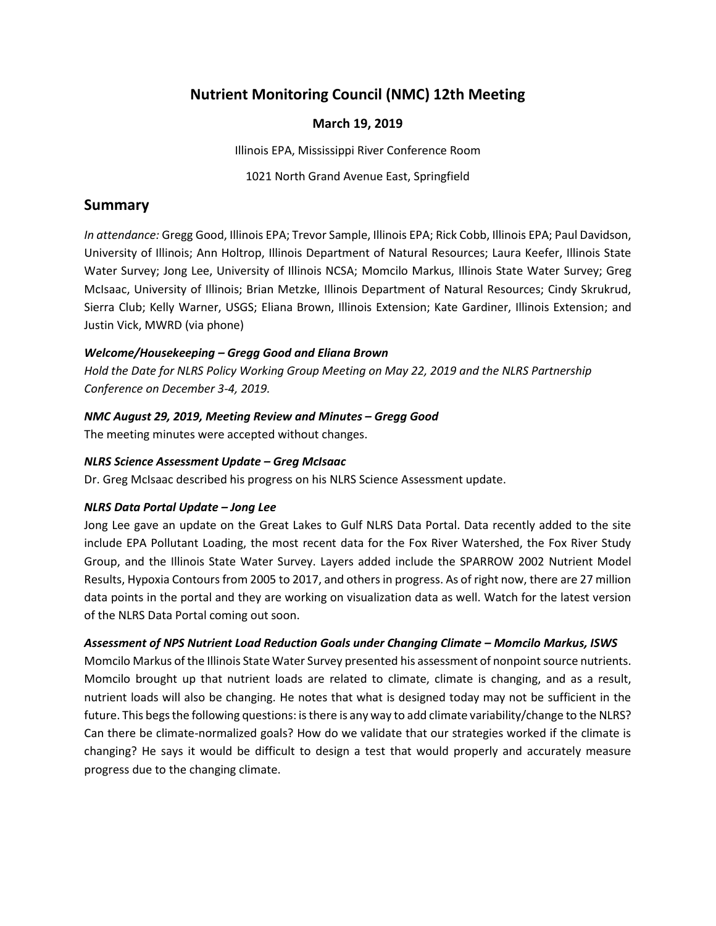# **Nutrient Monitoring Council (NMC) 12th Meeting**

## **March 19, 2019**

Illinois EPA, Mississippi River Conference Room

1021 North Grand Avenue East, Springfield

## **Summary**

*In attendance:* Gregg Good, Illinois EPA; Trevor Sample, Illinois EPA; Rick Cobb, Illinois EPA; Paul Davidson, University of Illinois; Ann Holtrop, Illinois Department of Natural Resources; Laura Keefer, Illinois State Water Survey; Jong Lee, University of Illinois NCSA; Momcilo Markus, Illinois State Water Survey; Greg McIsaac, University of Illinois; Brian Metzke, Illinois Department of Natural Resources; Cindy Skrukrud, Sierra Club; Kelly Warner, USGS; Eliana Brown, Illinois Extension; Kate Gardiner, Illinois Extension; and Justin Vick, MWRD (via phone)

## *Welcome/Housekeeping – Gregg Good and Eliana Brown*

*Hold the Date for NLRS Policy Working Group Meeting on May 22, 2019 and the NLRS Partnership Conference on December 3-4, 2019.*

## *NMC August 29, 2019, Meeting Review and Minutes – Gregg Good*

The meeting minutes were accepted without changes.

### *NLRS Science Assessment Update – Greg McIsaac*

Dr. Greg McIsaac described his progress on his NLRS Science Assessment update.

## *NLRS Data Portal Update – Jong Lee*

Jong Lee gave an update on the Great Lakes to Gulf NLRS Data Portal. Data recently added to the site include EPA Pollutant Loading, the most recent data for the Fox River Watershed, the Fox River Study Group, and the Illinois State Water Survey. Layers added include the SPARROW 2002 Nutrient Model Results, Hypoxia Contours from 2005 to 2017, and others in progress. As of right now, there are 27 million data points in the portal and they are working on visualization data as well. Watch for the latest version of the NLRS Data Portal coming out soon.

## *Assessment of NPS Nutrient Load Reduction Goals under Changing Climate – Momcilo Markus, ISWS*

Momcilo Markus of the Illinois State Water Survey presented his assessment of nonpoint source nutrients. Momcilo brought up that nutrient loads are related to climate, climate is changing, and as a result, nutrient loads will also be changing. He notes that what is designed today may not be sufficient in the future. This begs the following questions: is there is any way to add climate variability/change to the NLRS? Can there be climate-normalized goals? How do we validate that our strategies worked if the climate is changing? He says it would be difficult to design a test that would properly and accurately measure progress due to the changing climate.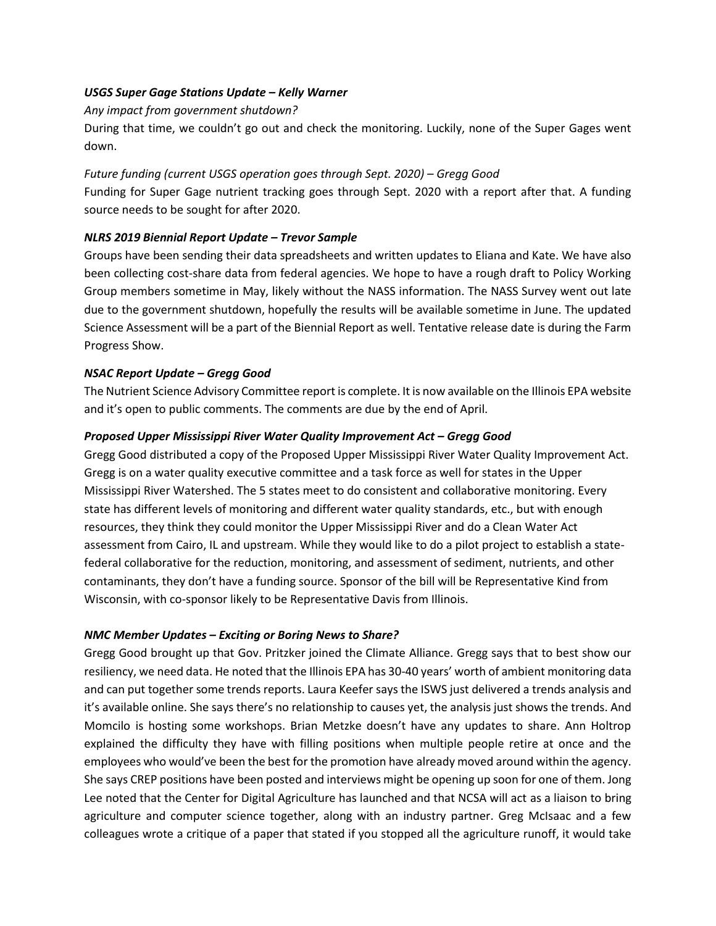#### *USGS Super Gage Stations Update – Kelly Warner*

#### *Any impact from government shutdown?*

During that time, we couldn't go out and check the monitoring. Luckily, none of the Super Gages went down.

### *Future funding (current USGS operation goes through Sept. 2020) – Gregg Good*

Funding for Super Gage nutrient tracking goes through Sept. 2020 with a report after that. A funding source needs to be sought for after 2020.

## *NLRS 2019 Biennial Report Update – Trevor Sample*

Groups have been sending their data spreadsheets and written updates to Eliana and Kate. We have also been collecting cost-share data from federal agencies. We hope to have a rough draft to Policy Working Group members sometime in May, likely without the NASS information. The NASS Survey went out late due to the government shutdown, hopefully the results will be available sometime in June. The updated Science Assessment will be a part of the Biennial Report as well. Tentative release date is during the Farm Progress Show.

#### *NSAC Report Update – Gregg Good*

The Nutrient Science Advisory Committee report is complete. It is now available on the Illinois EPA website and it's open to public comments. The comments are due by the end of April.

#### **Proposed Upper Mississippi River Water Quality Improvement Act - Gregg Good**

Gregg Good distributed a copy of the Proposed Upper Mississippi River Water Quality Improvement Act. Gregg is on a water quality executive committee and a task force as well for states in the Upper Mississippi River Watershed. The 5 states meet to do consistent and collaborative monitoring. Every state has different levels of monitoring and different water quality standards, etc., but with enough resources, they think they could monitor the Upper Mississippi River and do a Clean Water Act assessment from Cairo, IL and upstream. While they would like to do a pilot project to establish a statefederal collaborative for the reduction, monitoring, and assessment of sediment, nutrients, and other contaminants, they don't have a funding source. Sponsor of the bill will be Representative Kind from Wisconsin, with co-sponsor likely to be Representative Davis from Illinois.

#### *NMC Member Updates – Exciting or Boring News to Share?*

Gregg Good brought up that Gov. Pritzker joined the Climate Alliance. Gregg says that to best show our resiliency, we need data. He noted that the Illinois EPA has 30-40 years' worth of ambient monitoring data and can put together some trends reports. Laura Keefer says the ISWS just delivered a trends analysis and it's available online. She says there's no relationship to causes yet, the analysis just shows the trends. And Momcilo is hosting some workshops. Brian Metzke doesn't have any updates to share. Ann Holtrop explained the difficulty they have with filling positions when multiple people retire at once and the employees who would've been the best for the promotion have already moved around within the agency. She says CREP positions have been posted and interviews might be opening up soon for one of them. Jong Lee noted that the Center for Digital Agriculture has launched and that NCSA will act as a liaison to bring agriculture and computer science together, along with an industry partner. Greg McIsaac and a few colleagues wrote a critique of a paper that stated if you stopped all the agriculture runoff, it would take